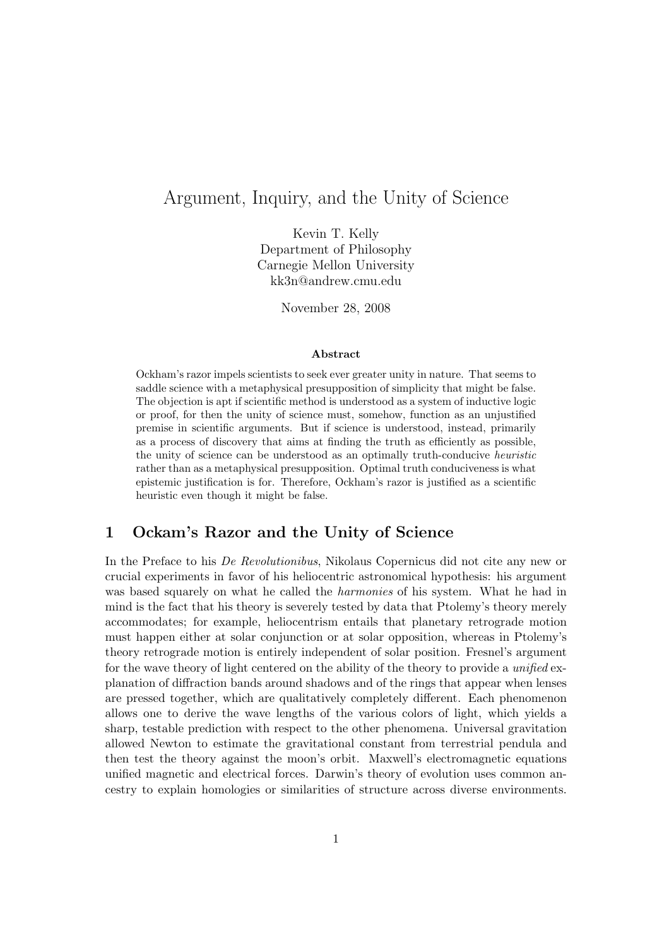# Argument, Inquiry, and the Unity of Science

Kevin T. Kelly Department of Philosophy Carnegie Mellon University kk3n@andrew.cmu.edu

November 28, 2008

#### Abstract

Ockham's razor impels scientists to seek ever greater unity in nature. That seems to saddle science with a metaphysical presupposition of simplicity that might be false. The objection is apt if scientific method is understood as a system of inductive logic or proof, for then the unity of science must, somehow, function as an unjustified premise in scientific arguments. But if science is understood, instead, primarily as a process of discovery that aims at finding the truth as efficiently as possible, the unity of science can be understood as an optimally truth-conducive heuristic rather than as a metaphysical presupposition. Optimal truth conduciveness is what epistemic justification is for. Therefore, Ockham's razor is justified as a scientific heuristic even though it might be false.

### 1 Ockam's Razor and the Unity of Science

In the Preface to his De Revolutionibus, Nikolaus Copernicus did not cite any new or crucial experiments in favor of his heliocentric astronomical hypothesis: his argument was based squarely on what he called the *harmonies* of his system. What he had in mind is the fact that his theory is severely tested by data that Ptolemy's theory merely accommodates; for example, heliocentrism entails that planetary retrograde motion must happen either at solar conjunction or at solar opposition, whereas in Ptolemy's theory retrograde motion is entirely independent of solar position. Fresnel's argument for the wave theory of light centered on the ability of the theory to provide a *unified* explanation of diffraction bands around shadows and of the rings that appear when lenses are pressed together, which are qualitatively completely different. Each phenomenon allows one to derive the wave lengths of the various colors of light, which yields a sharp, testable prediction with respect to the other phenomena. Universal gravitation allowed Newton to estimate the gravitational constant from terrestrial pendula and then test the theory against the moon's orbit. Maxwell's electromagnetic equations unified magnetic and electrical forces. Darwin's theory of evolution uses common ancestry to explain homologies or similarities of structure across diverse environments.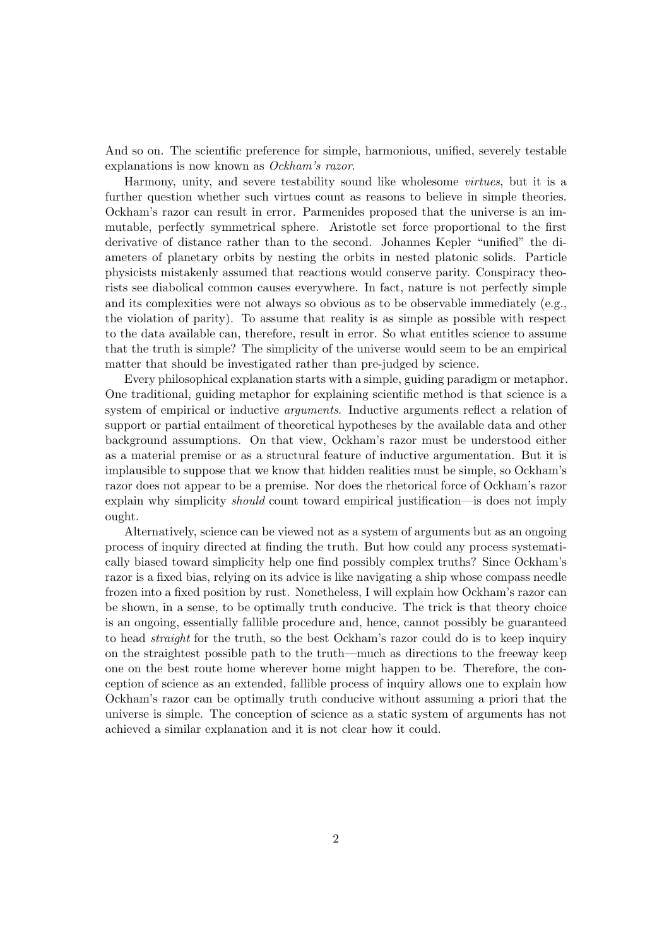And so on. The scientific preference for simple, harmonious, unified, severely testable explanations is now known as Ockham's razor.

Harmony, unity, and severe testability sound like wholesome virtues, but it is a further question whether such virtues count as reasons to believe in simple theories. Ockham's razor can result in error. Parmenides proposed that the universe is an immutable, perfectly symmetrical sphere. Aristotle set force proportional to the first derivative of distance rather than to the second. Johannes Kepler "unified" the diameters of planetary orbits by nesting the orbits in nested platonic solids. Particle physicists mistakenly assumed that reactions would conserve parity. Conspiracy theorists see diabolical common causes everywhere. In fact, nature is not perfectly simple and its complexities were not always so obvious as to be observable immediately (e.g., the violation of parity). To assume that reality is as simple as possible with respect to the data available can, therefore, result in error. So what entitles science to assume that the truth is simple? The simplicity of the universe would seem to be an empirical matter that should be investigated rather than pre-judged by science.

Every philosophical explanation starts with a simple, guiding paradigm or metaphor. One traditional, guiding metaphor for explaining scientific method is that science is a system of empirical or inductive *arguments*. Inductive arguments reflect a relation of support or partial entailment of theoretical hypotheses by the available data and other background assumptions. On that view, Ockham's razor must be understood either as a material premise or as a structural feature of inductive argumentation. But it is implausible to suppose that we know that hidden realities must be simple, so Ockham's razor does not appear to be a premise. Nor does the rhetorical force of Ockham's razor explain why simplicity should count toward empirical justification—is does not imply ought.

Alternatively, science can be viewed not as a system of arguments but as an ongoing process of inquiry directed at finding the truth. But how could any process systematically biased toward simplicity help one find possibly complex truths? Since Ockham's razor is a fixed bias, relying on its advice is like navigating a ship whose compass needle frozen into a fixed position by rust. Nonetheless, I will explain how Ockham's razor can be shown, in a sense, to be optimally truth conducive. The trick is that theory choice is an ongoing, essentially fallible procedure and, hence, cannot possibly be guaranteed to head straight for the truth, so the best Ockham's razor could do is to keep inquiry on the straightest possible path to the truth—much as directions to the freeway keep one on the best route home wherever home might happen to be. Therefore, the conception of science as an extended, fallible process of inquiry allows one to explain how Ockham's razor can be optimally truth conducive without assuming a priori that the universe is simple. The conception of science as a static system of arguments has not achieved a similar explanation and it is not clear how it could.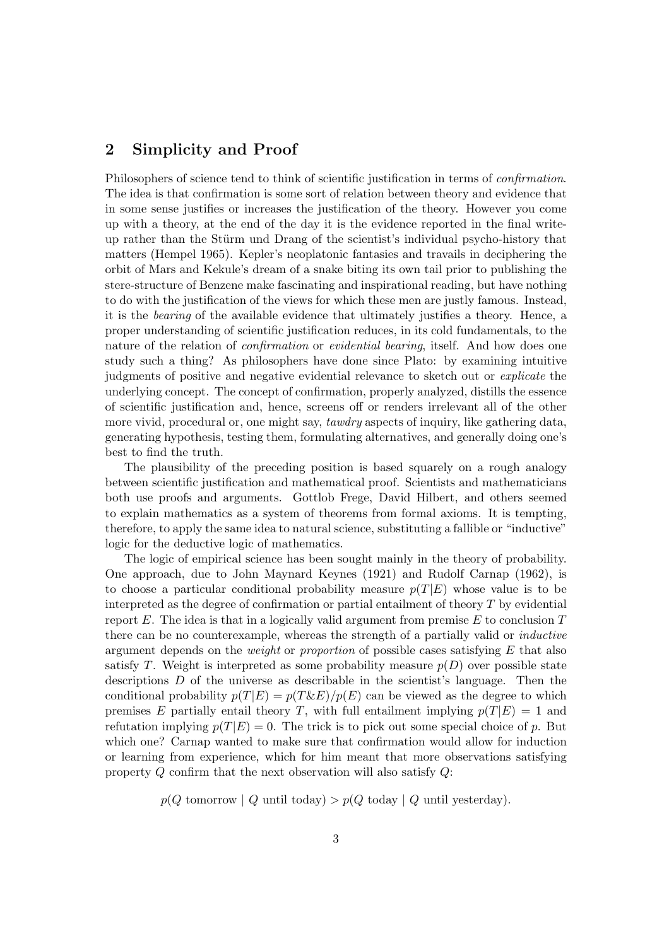## 2 Simplicity and Proof

Philosophers of science tend to think of scientific justification in terms of confirmation. The idea is that confirmation is some sort of relation between theory and evidence that in some sense justifies or increases the justification of the theory. However you come up with a theory, at the end of the day it is the evidence reported in the final writeup rather than the Stürm und Drang of the scientist's individual psycho-history that matters (Hempel 1965). Kepler's neoplatonic fantasies and travails in deciphering the orbit of Mars and Kekule's dream of a snake biting its own tail prior to publishing the stere-structure of Benzene make fascinating and inspirational reading, but have nothing to do with the justification of the views for which these men are justly famous. Instead, it is the bearing of the available evidence that ultimately justifies a theory. Hence, a proper understanding of scientific justification reduces, in its cold fundamentals, to the nature of the relation of *confirmation* or *evidential bearing*, itself. And how does one study such a thing? As philosophers have done since Plato: by examining intuitive judgments of positive and negative evidential relevance to sketch out or explicate the underlying concept. The concept of confirmation, properly analyzed, distills the essence of scientific justification and, hence, screens off or renders irrelevant all of the other more vivid, procedural or, one might say, *tawdry* aspects of inquiry, like gathering data, generating hypothesis, testing them, formulating alternatives, and generally doing one's best to find the truth.

The plausibility of the preceding position is based squarely on a rough analogy between scientific justification and mathematical proof. Scientists and mathematicians both use proofs and arguments. Gottlob Frege, David Hilbert, and others seemed to explain mathematics as a system of theorems from formal axioms. It is tempting, therefore, to apply the same idea to natural science, substituting a fallible or "inductive" logic for the deductive logic of mathematics.

The logic of empirical science has been sought mainly in the theory of probability. One approach, due to John Maynard Keynes (1921) and Rudolf Carnap (1962), is to choose a particular conditional probability measure  $p(T|E)$  whose value is to be interpreted as the degree of confirmation or partial entailment of theory  $T$  by evidential report  $E$ . The idea is that in a logically valid argument from premise  $E$  to conclusion  $T$ there can be no counterexample, whereas the strength of a partially valid or inductive argument depends on the *weight* or *proportion* of possible cases satisfying  $E$  that also satisfy T. Weight is interpreted as some probability measure  $p(D)$  over possible state descriptions D of the universe as describable in the scientist's language. Then the conditional probability  $p(T|E) = p(T\&E)/p(E)$  can be viewed as the degree to which premises E partially entail theory T, with full entailment implying  $p(T|E) = 1$  and refutation implying  $p(T|E) = 0$ . The trick is to pick out some special choice of p. But which one? Carnap wanted to make sure that confirmation would allow for induction or learning from experience, which for him meant that more observations satisfying property Q confirm that the next observation will also satisfy Q:

 $p(Q \text{ tomorrow} | Q \text{ until today}) > p(Q \text{ today} | Q \text{ until yesterday}).$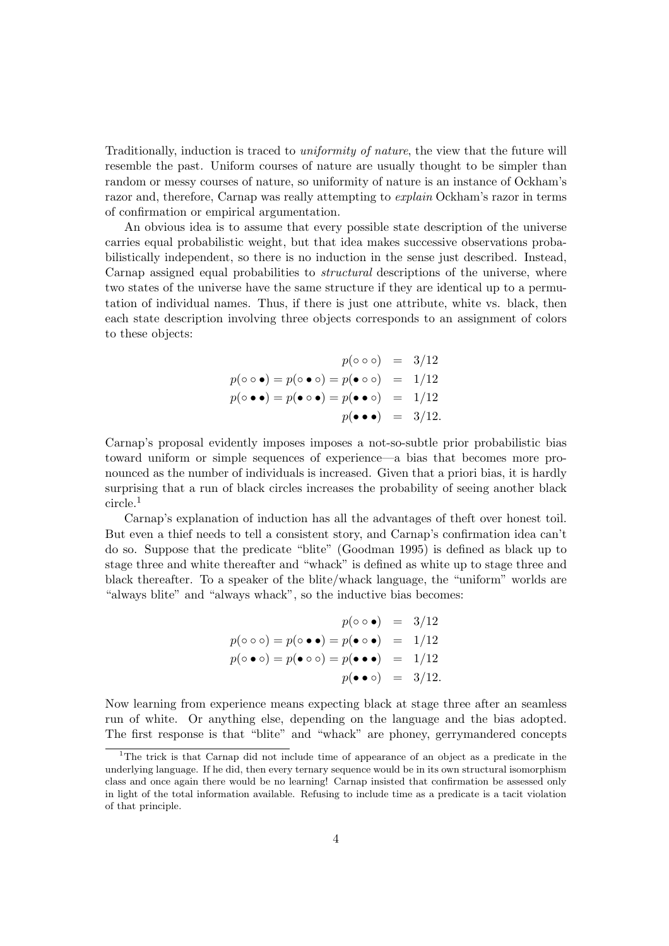Traditionally, induction is traced to uniformity of nature, the view that the future will resemble the past. Uniform courses of nature are usually thought to be simpler than random or messy courses of nature, so uniformity of nature is an instance of Ockham's razor and, therefore, Carnap was really attempting to *explain* Ockham's razor in terms of confirmation or empirical argumentation.

An obvious idea is to assume that every possible state description of the universe carries equal probabilistic weight, but that idea makes successive observations probabilistically independent, so there is no induction in the sense just described. Instead, Carnap assigned equal probabilities to *structural* descriptions of the universe, where two states of the universe have the same structure if they are identical up to a permutation of individual names. Thus, if there is just one attribute, white vs. black, then each state description involving three objects corresponds to an assignment of colors to these objects:

$$
p(\circ \circ \circ) = 3/12
$$
  
\n
$$
p(\circ \circ \bullet) = p(\circ \bullet \circ) = p(\bullet \circ \circ) = 1/12
$$
  
\n
$$
p(\circ \bullet \bullet) = p(\bullet \circ \bullet) = p(\bullet \bullet \circ) = 1/12
$$
  
\n
$$
p(\bullet \bullet \bullet) = 3/12.
$$

Carnap's proposal evidently imposes imposes a not-so-subtle prior probabilistic bias toward uniform or simple sequences of experience—a bias that becomes more pronounced as the number of individuals is increased. Given that a priori bias, it is hardly surprising that a run of black circles increases the probability of seeing another black circle.<sup>1</sup>

Carnap's explanation of induction has all the advantages of theft over honest toil. But even a thief needs to tell a consistent story, and Carnap's confirmation idea can't do so. Suppose that the predicate "blite" (Goodman 1995) is defined as black up to stage three and white thereafter and "whack" is defined as white up to stage three and black thereafter. To a speaker of the blite/whack language, the "uniform" worlds are "always blite" and "always whack", so the inductive bias becomes:

$$
p(\circ \circ \bullet) = 3/12
$$
  
\n
$$
p(\circ \circ \bullet) = p(\circ \bullet \bullet) = p(\bullet \circ \bullet) = 1/12
$$
  
\n
$$
p(\circ \bullet \circ) = p(\bullet \circ \circ) = p(\bullet \bullet \bullet) = 1/12
$$
  
\n
$$
p(\bullet \bullet \circ) = 3/12.
$$

Now learning from experience means expecting black at stage three after an seamless run of white. Or anything else, depending on the language and the bias adopted. The first response is that "blite" and "whack" are phoney, gerrymandered concepts

<sup>&</sup>lt;sup>1</sup>The trick is that Carnap did not include time of appearance of an object as a predicate in the underlying language. If he did, then every ternary sequence would be in its own structural isomorphism class and once again there would be no learning! Carnap insisted that confirmation be assessed only in light of the total information available. Refusing to include time as a predicate is a tacit violation of that principle.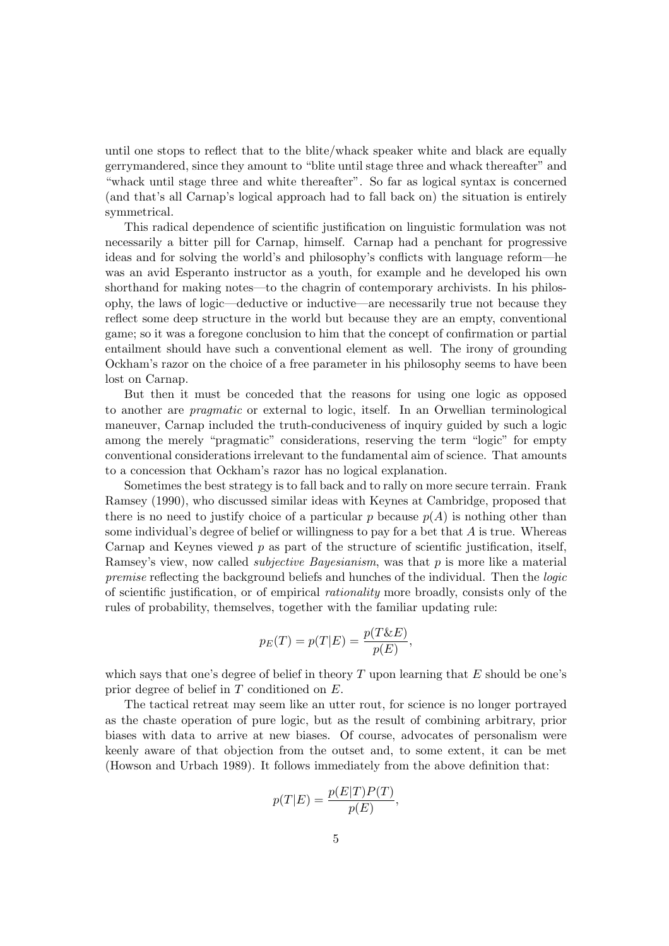until one stops to reflect that to the blite/whack speaker white and black are equally gerrymandered, since they amount to "blite until stage three and whack thereafter" and "whack until stage three and white thereafter". So far as logical syntax is concerned (and that's all Carnap's logical approach had to fall back on) the situation is entirely symmetrical.

This radical dependence of scientific justification on linguistic formulation was not necessarily a bitter pill for Carnap, himself. Carnap had a penchant for progressive ideas and for solving the world's and philosophy's conflicts with language reform—he was an avid Esperanto instructor as a youth, for example and he developed his own shorthand for making notes—to the chagrin of contemporary archivists. In his philosophy, the laws of logic—deductive or inductive—are necessarily true not because they reflect some deep structure in the world but because they are an empty, conventional game; so it was a foregone conclusion to him that the concept of confirmation or partial entailment should have such a conventional element as well. The irony of grounding Ockham's razor on the choice of a free parameter in his philosophy seems to have been lost on Carnap.

But then it must be conceded that the reasons for using one logic as opposed to another are pragmatic or external to logic, itself. In an Orwellian terminological maneuver, Carnap included the truth-conduciveness of inquiry guided by such a logic among the merely "pragmatic" considerations, reserving the term "logic" for empty conventional considerations irrelevant to the fundamental aim of science. That amounts to a concession that Ockham's razor has no logical explanation.

Sometimes the best strategy is to fall back and to rally on more secure terrain. Frank Ramsey (1990), who discussed similar ideas with Keynes at Cambridge, proposed that there is no need to justify choice of a particular p because  $p(A)$  is nothing other than some individual's degree of belief or willingness to pay for a bet that  $A$  is true. Whereas Carnap and Keynes viewed  $p$  as part of the structure of scientific justification, itself, Ramsey's view, now called *subjective Bayesianism*, was that  $p$  is more like a material premise reflecting the background beliefs and hunches of the individual. Then the logic of scientific justification, or of empirical rationality more broadly, consists only of the rules of probability, themselves, together with the familiar updating rule:

$$
p_E(T) = p(T|E) = \frac{p(T \& E)}{p(E)},
$$

which says that one's degree of belief in theory  $T$  upon learning that  $E$  should be one's prior degree of belief in T conditioned on E.

The tactical retreat may seem like an utter rout, for science is no longer portrayed as the chaste operation of pure logic, but as the result of combining arbitrary, prior biases with data to arrive at new biases. Of course, advocates of personalism were keenly aware of that objection from the outset and, to some extent, it can be met (Howson and Urbach 1989). It follows immediately from the above definition that:

$$
p(T|E) = \frac{p(E|T)P(T)}{p(E)},
$$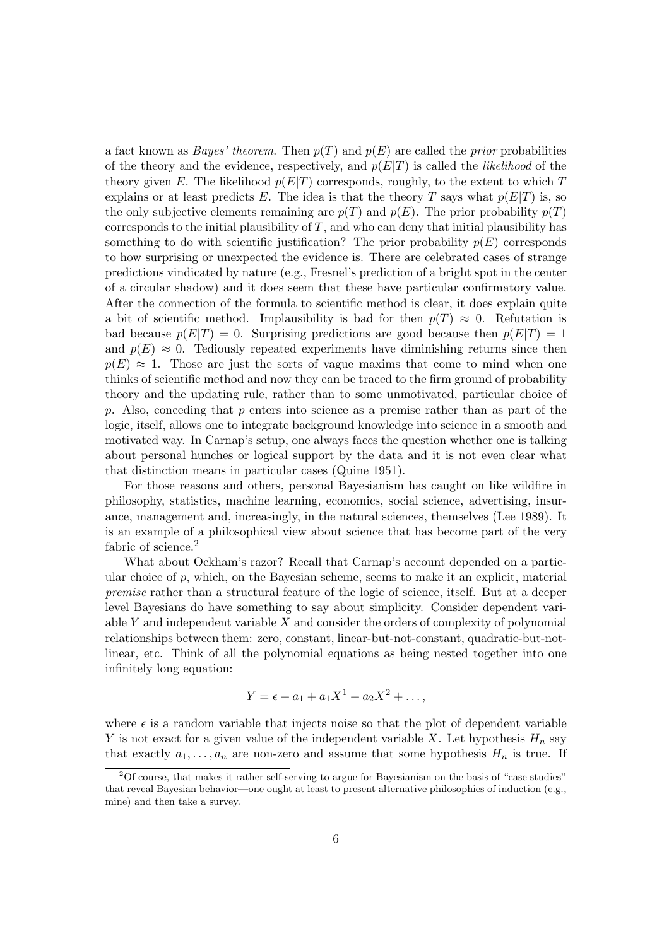a fact known as *Bayes' theorem.* Then  $p(T)$  and  $p(E)$  are called the *prior* probabilities of the theory and the evidence, respectively, and  $p(E|T)$  is called the *likelihood* of the theory given E. The likelihood  $p(E|T)$  corresponds, roughly, to the extent to which T explains or at least predicts E. The idea is that the theory T says what  $p(E|T)$  is, so the only subjective elements remaining are  $p(T)$  and  $p(E)$ . The prior probability  $p(T)$ corresponds to the initial plausibility of  $T$ , and who can deny that initial plausibility has something to do with scientific justification? The prior probability  $p(E)$  corresponds to how surprising or unexpected the evidence is. There are celebrated cases of strange predictions vindicated by nature (e.g., Fresnel's prediction of a bright spot in the center of a circular shadow) and it does seem that these have particular confirmatory value. After the connection of the formula to scientific method is clear, it does explain quite a bit of scientific method. Implausibility is bad for then  $p(T) \approx 0$ . Refutation is bad because  $p(E|T) = 0$ . Surprising predictions are good because then  $p(E|T) = 1$ and  $p(E) \approx 0$ . Tediously repeated experiments have diminishing returns since then  $p(E) \approx 1$ . Those are just the sorts of vague maxims that come to mind when one thinks of scientific method and now they can be traced to the firm ground of probability theory and the updating rule, rather than to some unmotivated, particular choice of p. Also, conceding that p enters into science as a premise rather than as part of the logic, itself, allows one to integrate background knowledge into science in a smooth and motivated way. In Carnap's setup, one always faces the question whether one is talking about personal hunches or logical support by the data and it is not even clear what that distinction means in particular cases (Quine 1951).

For those reasons and others, personal Bayesianism has caught on like wildfire in philosophy, statistics, machine learning, economics, social science, advertising, insurance, management and, increasingly, in the natural sciences, themselves (Lee 1989). It is an example of a philosophical view about science that has become part of the very fabric of science.<sup>2</sup>

What about Ockham's razor? Recall that Carnap's account depended on a particular choice of  $p$ , which, on the Bayesian scheme, seems to make it an explicit, material premise rather than a structural feature of the logic of science, itself. But at a deeper level Bayesians do have something to say about simplicity. Consider dependent variable  $Y$  and independent variable  $X$  and consider the orders of complexity of polynomial relationships between them: zero, constant, linear-but-not-constant, quadratic-but-notlinear, etc. Think of all the polynomial equations as being nested together into one infinitely long equation:

$$
Y = \epsilon + a_1 + a_1 X^1 + a_2 X^2 + \dots,
$$

where  $\epsilon$  is a random variable that injects noise so that the plot of dependent variable Y is not exact for a given value of the independent variable X. Let hypothesis  $H_n$  say that exactly  $a_1, \ldots, a_n$  are non-zero and assume that some hypothesis  $H_n$  is true. If

<sup>2</sup>Of course, that makes it rather self-serving to argue for Bayesianism on the basis of "case studies" that reveal Bayesian behavior—one ought at least to present alternative philosophies of induction (e.g., mine) and then take a survey.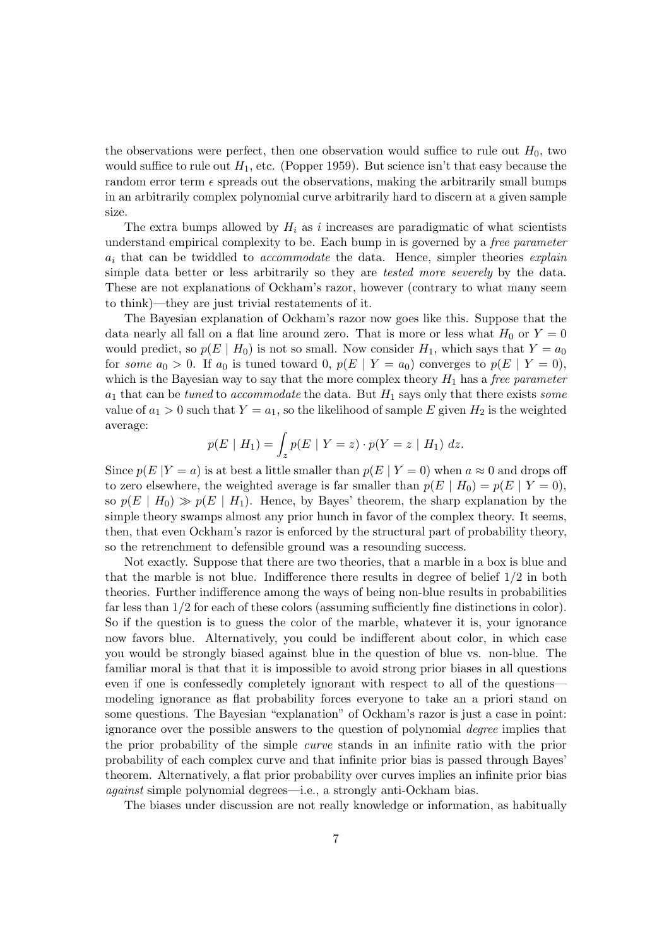the observations were perfect, then one observation would suffice to rule out  $H_0$ , two would suffice to rule out  $H_1$ , etc. (Popper 1959). But science isn't that easy because the random error term  $\epsilon$  spreads out the observations, making the arbitrarily small bumps in an arbitrarily complex polynomial curve arbitrarily hard to discern at a given sample size.

The extra bumps allowed by  $H_i$  as i increases are paradigmatic of what scientists understand empirical complexity to be. Each bump in is governed by a free parameter  $a_i$  that can be twiddled to *accommodate* the data. Hence, simpler theories *explain* simple data better or less arbitrarily so they are tested more severely by the data. These are not explanations of Ockham's razor, however (contrary to what many seem to think)—they are just trivial restatements of it.

The Bayesian explanation of Ockham's razor now goes like this. Suppose that the data nearly all fall on a flat line around zero. That is more or less what  $H_0$  or  $Y = 0$ would predict, so  $p(E \mid H_0)$  is not so small. Now consider  $H_1$ , which says that  $Y = a_0$ for some  $a_0 > 0$ . If  $a_0$  is tuned toward 0,  $p(E \mid Y = a_0)$  converges to  $p(E \mid Y = 0)$ , which is the Bayesian way to say that the more complex theory  $H_1$  has a free parameter  $a_1$  that can be tuned to accommodate the data. But  $H_1$  says only that there exists some value of  $a_1 > 0$  such that  $Y = a_1$ , so the likelihood of sample E given  $H_2$  is the weighted average:

$$
p(E \mid H_1) = \int_z p(E \mid Y = z) \cdot p(Y = z \mid H_1) \ dz.
$$

Since  $p(E | Y = a)$  is at best a little smaller than  $p(E | Y = 0)$  when  $a \approx 0$  and drops off to zero elsewhere, the weighted average is far smaller than  $p(E \mid H_0) = p(E \mid Y = 0)$ , so  $p(E \mid H_0) \gg p(E \mid H_1)$ . Hence, by Bayes' theorem, the sharp explanation by the simple theory swamps almost any prior hunch in favor of the complex theory. It seems, then, that even Ockham's razor is enforced by the structural part of probability theory, so the retrenchment to defensible ground was a resounding success.

Not exactly. Suppose that there are two theories, that a marble in a box is blue and that the marble is not blue. Indifference there results in degree of belief  $1/2$  in both theories. Further indifference among the ways of being non-blue results in probabilities far less than 1/2 for each of these colors (assuming sufficiently fine distinctions in color). So if the question is to guess the color of the marble, whatever it is, your ignorance now favors blue. Alternatively, you could be indifferent about color, in which case you would be strongly biased against blue in the question of blue vs. non-blue. The familiar moral is that that it is impossible to avoid strong prior biases in all questions even if one is confessedly completely ignorant with respect to all of the questions modeling ignorance as flat probability forces everyone to take an a priori stand on some questions. The Bayesian "explanation" of Ockham's razor is just a case in point: ignorance over the possible answers to the question of polynomial degree implies that the prior probability of the simple curve stands in an infinite ratio with the prior probability of each complex curve and that infinite prior bias is passed through Bayes' theorem. Alternatively, a flat prior probability over curves implies an infinite prior bias against simple polynomial degrees—i.e., a strongly anti-Ockham bias.

The biases under discussion are not really knowledge or information, as habitually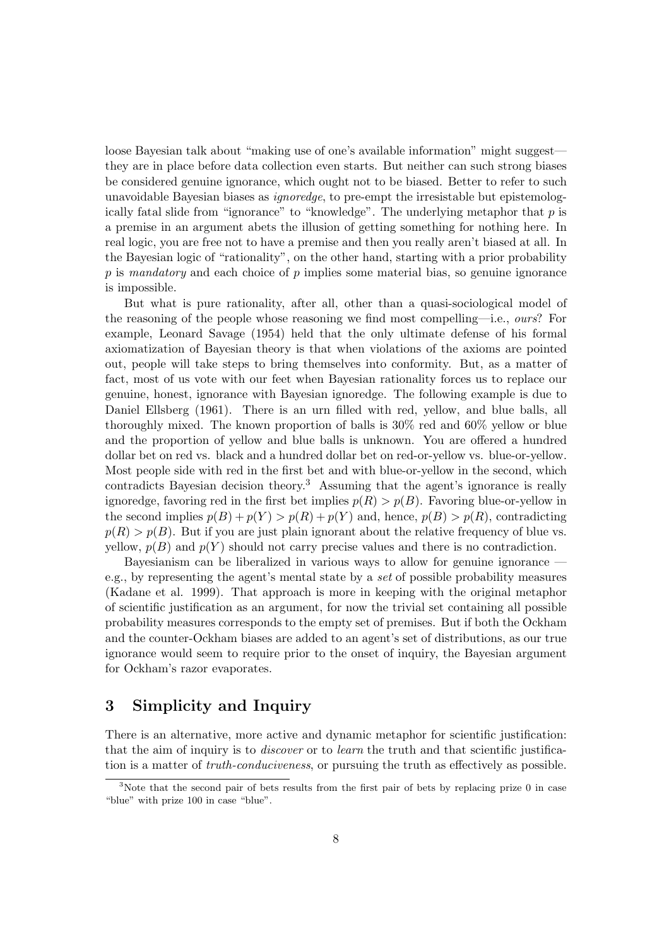loose Bayesian talk about "making use of one's available information" might suggest they are in place before data collection even starts. But neither can such strong biases be considered genuine ignorance, which ought not to be biased. Better to refer to such unavoidable Bayesian biases as ignoredge, to pre-empt the irresistable but epistemologically fatal slide from "ignorance" to "knowledge". The underlying metaphor that  $p$  is a premise in an argument abets the illusion of getting something for nothing here. In real logic, you are free not to have a premise and then you really aren't biased at all. In the Bayesian logic of "rationality", on the other hand, starting with a prior probability  $p$  is mandatory and each choice of  $p$  implies some material bias, so genuine ignorance is impossible.

But what is pure rationality, after all, other than a quasi-sociological model of the reasoning of the people whose reasoning we find most compelling—i.e., ours? For example, Leonard Savage (1954) held that the only ultimate defense of his formal axiomatization of Bayesian theory is that when violations of the axioms are pointed out, people will take steps to bring themselves into conformity. But, as a matter of fact, most of us vote with our feet when Bayesian rationality forces us to replace our genuine, honest, ignorance with Bayesian ignoredge. The following example is due to Daniel Ellsberg (1961). There is an urn filled with red, yellow, and blue balls, all thoroughly mixed. The known proportion of balls is 30% red and 60% yellow or blue and the proportion of yellow and blue balls is unknown. You are offered a hundred dollar bet on red vs. black and a hundred dollar bet on red-or-yellow vs. blue-or-yellow. Most people side with red in the first bet and with blue-or-yellow in the second, which contradicts Bayesian decision theory.<sup>3</sup> Assuming that the agent's ignorance is really ignoredge, favoring red in the first bet implies  $p(R) > p(B)$ . Favoring blue-or-yellow in the second implies  $p(B) + p(Y) > p(R) + p(Y)$  and, hence,  $p(B) > p(R)$ , contradicting  $p(R) > p(B)$ . But if you are just plain ignorant about the relative frequency of blue vs. yellow,  $p(B)$  and  $p(Y)$  should not carry precise values and there is no contradiction.

Bayesianism can be liberalized in various ways to allow for genuine ignorance e.g., by representing the agent's mental state by a set of possible probability measures (Kadane et al. 1999). That approach is more in keeping with the original metaphor of scientific justification as an argument, for now the trivial set containing all possible probability measures corresponds to the empty set of premises. But if both the Ockham and the counter-Ockham biases are added to an agent's set of distributions, as our true ignorance would seem to require prior to the onset of inquiry, the Bayesian argument for Ockham's razor evaporates.

## 3 Simplicity and Inquiry

There is an alternative, more active and dynamic metaphor for scientific justification: that the aim of inquiry is to *discover* or to *learn* the truth and that scientific justification is a matter of truth-conduciveness, or pursuing the truth as effectively as possible.

<sup>&</sup>lt;sup>3</sup>Note that the second pair of bets results from the first pair of bets by replacing prize 0 in case "blue" with prize 100 in case "blue".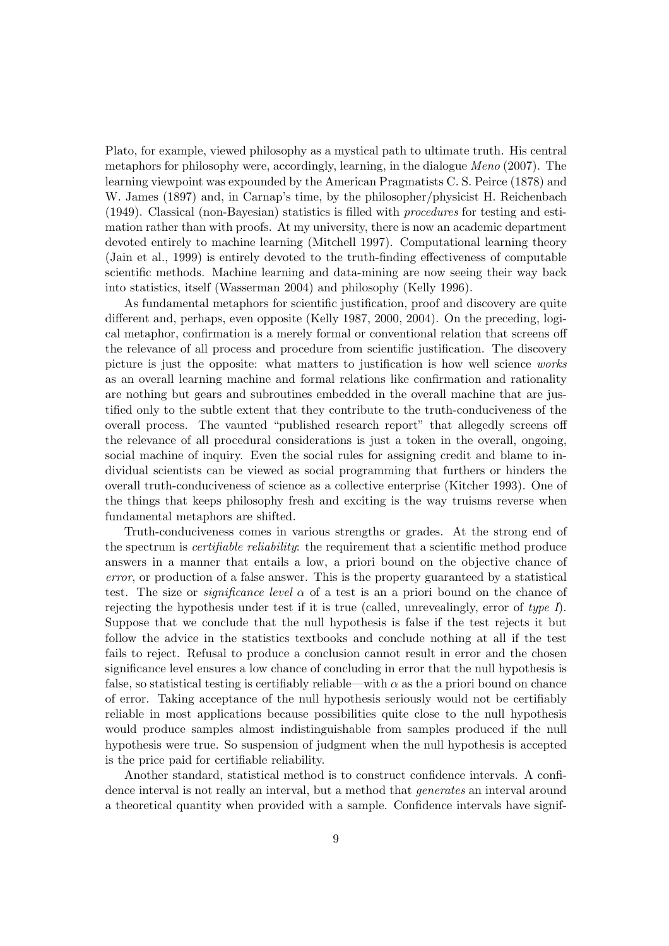Plato, for example, viewed philosophy as a mystical path to ultimate truth. His central metaphors for philosophy were, accordingly, learning, in the dialogue Meno (2007). The learning viewpoint was expounded by the American Pragmatists C. S. Peirce (1878) and W. James (1897) and, in Carnap's time, by the philosopher/physicist H. Reichenbach (1949). Classical (non-Bayesian) statistics is filled with procedures for testing and estimation rather than with proofs. At my university, there is now an academic department devoted entirely to machine learning (Mitchell 1997). Computational learning theory (Jain et al., 1999) is entirely devoted to the truth-finding effectiveness of computable scientific methods. Machine learning and data-mining are now seeing their way back into statistics, itself (Wasserman 2004) and philosophy (Kelly 1996).

As fundamental metaphors for scientific justification, proof and discovery are quite different and, perhaps, even opposite (Kelly 1987, 2000, 2004). On the preceding, logical metaphor, confirmation is a merely formal or conventional relation that screens off the relevance of all process and procedure from scientific justification. The discovery picture is just the opposite: what matters to justification is how well science *works* as an overall learning machine and formal relations like confirmation and rationality are nothing but gears and subroutines embedded in the overall machine that are justified only to the subtle extent that they contribute to the truth-conduciveness of the overall process. The vaunted "published research report" that allegedly screens off the relevance of all procedural considerations is just a token in the overall, ongoing, social machine of inquiry. Even the social rules for assigning credit and blame to individual scientists can be viewed as social programming that furthers or hinders the overall truth-conduciveness of science as a collective enterprise (Kitcher 1993). One of the things that keeps philosophy fresh and exciting is the way truisms reverse when fundamental metaphors are shifted.

Truth-conduciveness comes in various strengths or grades. At the strong end of the spectrum is certifiable reliability: the requirement that a scientific method produce answers in a manner that entails a low, a priori bound on the objective chance of error, or production of a false answer. This is the property guaranteed by a statistical test. The size or *significance level*  $\alpha$  of a test is an a priori bound on the chance of rejecting the hypothesis under test if it is true (called, unrevealingly, error of type  $I$ ). Suppose that we conclude that the null hypothesis is false if the test rejects it but follow the advice in the statistics textbooks and conclude nothing at all if the test fails to reject. Refusal to produce a conclusion cannot result in error and the chosen significance level ensures a low chance of concluding in error that the null hypothesis is false, so statistical testing is certifiably reliable—with  $\alpha$  as the a priori bound on chance of error. Taking acceptance of the null hypothesis seriously would not be certifiably reliable in most applications because possibilities quite close to the null hypothesis would produce samples almost indistinguishable from samples produced if the null hypothesis were true. So suspension of judgment when the null hypothesis is accepted is the price paid for certifiable reliability.

Another standard, statistical method is to construct confidence intervals. A confidence interval is not really an interval, but a method that *generates* an interval around a theoretical quantity when provided with a sample. Confidence intervals have signif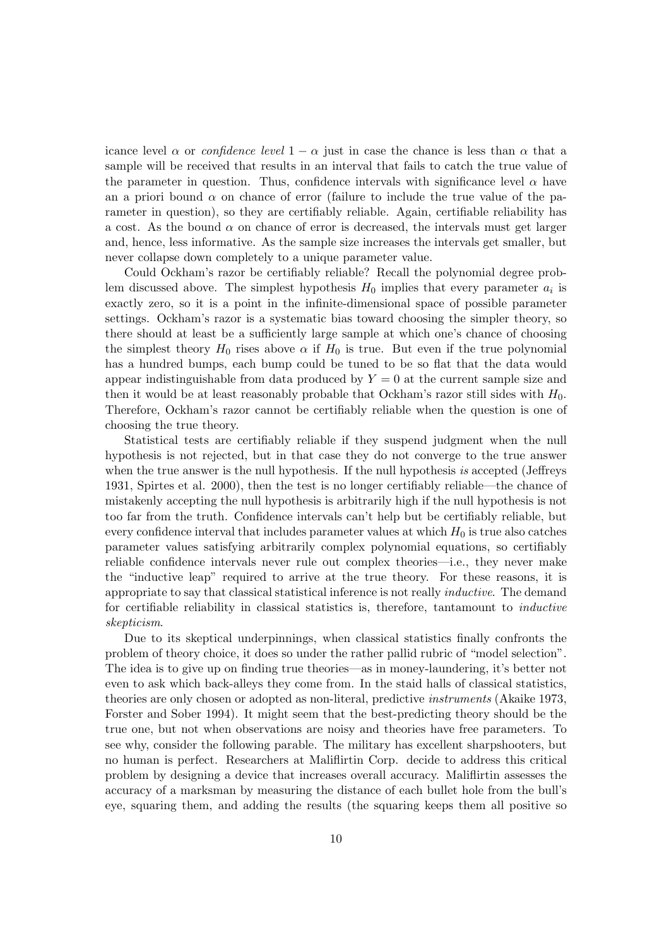icance level  $\alpha$  or *confidence level*  $1 - \alpha$  just in case the chance is less than  $\alpha$  that a sample will be received that results in an interval that fails to catch the true value of the parameter in question. Thus, confidence intervals with significance level  $\alpha$  have an a priori bound  $\alpha$  on chance of error (failure to include the true value of the parameter in question), so they are certifiably reliable. Again, certifiable reliability has a cost. As the bound  $\alpha$  on chance of error is decreased, the intervals must get larger and, hence, less informative. As the sample size increases the intervals get smaller, but never collapse down completely to a unique parameter value.

Could Ockham's razor be certifiably reliable? Recall the polynomial degree problem discussed above. The simplest hypothesis  $H_0$  implies that every parameter  $a_i$  is exactly zero, so it is a point in the infinite-dimensional space of possible parameter settings. Ockham's razor is a systematic bias toward choosing the simpler theory, so there should at least be a sufficiently large sample at which one's chance of choosing the simplest theory  $H_0$  rises above  $\alpha$  if  $H_0$  is true. But even if the true polynomial has a hundred bumps, each bump could be tuned to be so flat that the data would appear indistinguishable from data produced by  $Y = 0$  at the current sample size and then it would be at least reasonably probable that Ockham's razor still sides with  $H_0$ . Therefore, Ockham's razor cannot be certifiably reliable when the question is one of choosing the true theory.

Statistical tests are certifiably reliable if they suspend judgment when the null hypothesis is not rejected, but in that case they do not converge to the true answer when the true answer is the null hypothesis. If the null hypothesis is accepted (Jeffreys 1931, Spirtes et al. 2000), then the test is no longer certifiably reliable—the chance of mistakenly accepting the null hypothesis is arbitrarily high if the null hypothesis is not too far from the truth. Confidence intervals can't help but be certifiably reliable, but every confidence interval that includes parameter values at which  $H_0$  is true also catches parameter values satisfying arbitrarily complex polynomial equations, so certifiably reliable confidence intervals never rule out complex theories—i.e., they never make the "inductive leap" required to arrive at the true theory. For these reasons, it is appropriate to say that classical statistical inference is not really inductive. The demand for certifiable reliability in classical statistics is, therefore, tantamount to inductive skepticism.

Due to its skeptical underpinnings, when classical statistics finally confronts the problem of theory choice, it does so under the rather pallid rubric of "model selection". The idea is to give up on finding true theories—as in money-laundering, it's better not even to ask which back-alleys they come from. In the staid halls of classical statistics, theories are only chosen or adopted as non-literal, predictive instruments (Akaike 1973, Forster and Sober 1994). It might seem that the best-predicting theory should be the true one, but not when observations are noisy and theories have free parameters. To see why, consider the following parable. The military has excellent sharpshooters, but no human is perfect. Researchers at Maliflirtin Corp. decide to address this critical problem by designing a device that increases overall accuracy. Maliflirtin assesses the accuracy of a marksman by measuring the distance of each bullet hole from the bull's eye, squaring them, and adding the results (the squaring keeps them all positive so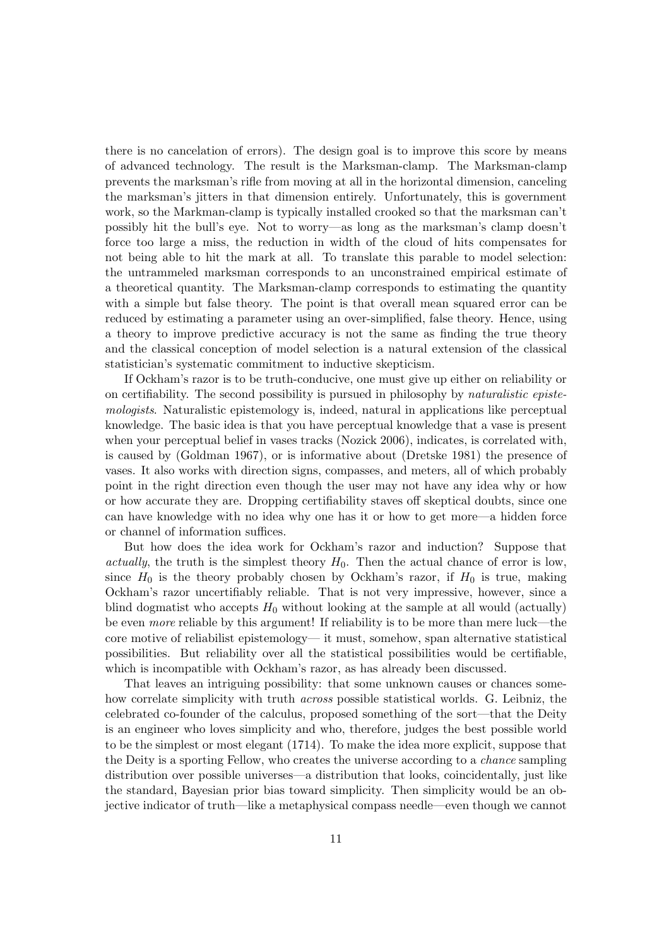there is no cancelation of errors). The design goal is to improve this score by means of advanced technology. The result is the Marksman-clamp. The Marksman-clamp prevents the marksman's rifle from moving at all in the horizontal dimension, canceling the marksman's jitters in that dimension entirely. Unfortunately, this is government work, so the Markman-clamp is typically installed crooked so that the marksman can't possibly hit the bull's eye. Not to worry—as long as the marksman's clamp doesn't force too large a miss, the reduction in width of the cloud of hits compensates for not being able to hit the mark at all. To translate this parable to model selection: the untrammeled marksman corresponds to an unconstrained empirical estimate of a theoretical quantity. The Marksman-clamp corresponds to estimating the quantity with a simple but false theory. The point is that overall mean squared error can be reduced by estimating a parameter using an over-simplified, false theory. Hence, using a theory to improve predictive accuracy is not the same as finding the true theory and the classical conception of model selection is a natural extension of the classical statistician's systematic commitment to inductive skepticism.

If Ockham's razor is to be truth-conducive, one must give up either on reliability or on certifiability. The second possibility is pursued in philosophy by naturalistic epistemologists. Naturalistic epistemology is, indeed, natural in applications like perceptual knowledge. The basic idea is that you have perceptual knowledge that a vase is present when your perceptual belief in vases tracks (Nozick 2006), indicates, is correlated with, is caused by (Goldman 1967), or is informative about (Dretske 1981) the presence of vases. It also works with direction signs, compasses, and meters, all of which probably point in the right direction even though the user may not have any idea why or how or how accurate they are. Dropping certifiability staves off skeptical doubts, since one can have knowledge with no idea why one has it or how to get more—a hidden force or channel of information suffices.

But how does the idea work for Ockham's razor and induction? Suppose that actually, the truth is the simplest theory  $H_0$ . Then the actual chance of error is low, since  $H_0$  is the theory probably chosen by Ockham's razor, if  $H_0$  is true, making Ockham's razor uncertifiably reliable. That is not very impressive, however, since a blind dogmatist who accepts  $H_0$  without looking at the sample at all would (actually) be even more reliable by this argument! If reliability is to be more than mere luck—the core motive of reliabilist epistemology— it must, somehow, span alternative statistical possibilities. But reliability over all the statistical possibilities would be certifiable, which is incompatible with Ockham's razor, as has already been discussed.

That leaves an intriguing possibility: that some unknown causes or chances somehow correlate simplicity with truth *across* possible statistical worlds. G. Leibniz, the celebrated co-founder of the calculus, proposed something of the sort—that the Deity is an engineer who loves simplicity and who, therefore, judges the best possible world to be the simplest or most elegant (1714). To make the idea more explicit, suppose that the Deity is a sporting Fellow, who creates the universe according to a chance sampling distribution over possible universes—a distribution that looks, coincidentally, just like the standard, Bayesian prior bias toward simplicity. Then simplicity would be an objective indicator of truth—like a metaphysical compass needle—even though we cannot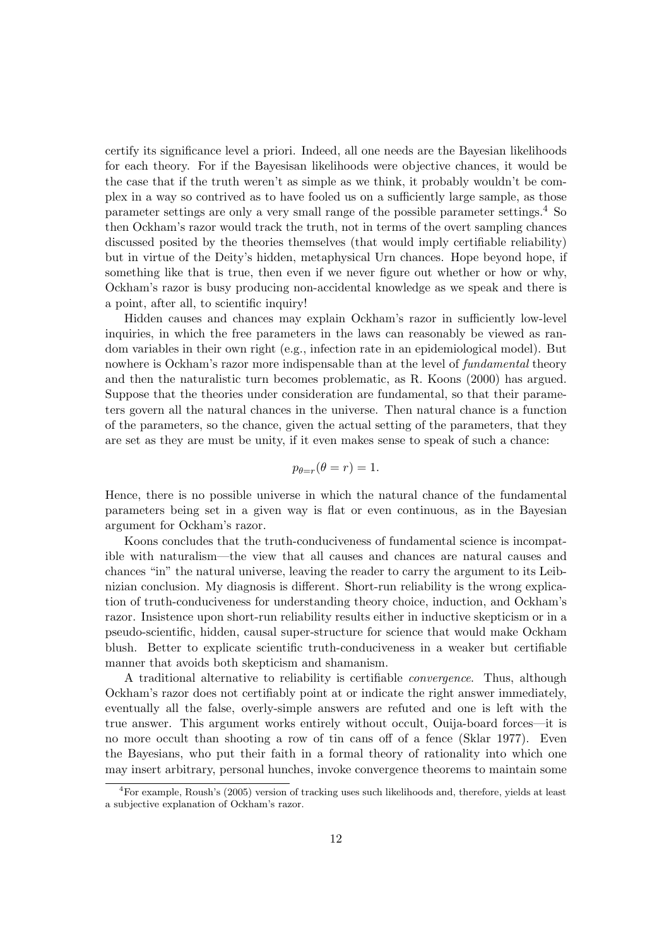certify its significance level a priori. Indeed, all one needs are the Bayesian likelihoods for each theory. For if the Bayesisan likelihoods were objective chances, it would be the case that if the truth weren't as simple as we think, it probably wouldn't be complex in a way so contrived as to have fooled us on a sufficiently large sample, as those parameter settings are only a very small range of the possible parameter settings.<sup>4</sup> So then Ockham's razor would track the truth, not in terms of the overt sampling chances discussed posited by the theories themselves (that would imply certifiable reliability) but in virtue of the Deity's hidden, metaphysical Urn chances. Hope beyond hope, if something like that is true, then even if we never figure out whether or how or why, Ockham's razor is busy producing non-accidental knowledge as we speak and there is a point, after all, to scientific inquiry!

Hidden causes and chances may explain Ockham's razor in sufficiently low-level inquiries, in which the free parameters in the laws can reasonably be viewed as random variables in their own right (e.g., infection rate in an epidemiological model). But nowhere is Ockham's razor more indispensable than at the level of *fundamental* theory and then the naturalistic turn becomes problematic, as R. Koons (2000) has argued. Suppose that the theories under consideration are fundamental, so that their parameters govern all the natural chances in the universe. Then natural chance is a function of the parameters, so the chance, given the actual setting of the parameters, that they are set as they are must be unity, if it even makes sense to speak of such a chance:

$$
p_{\theta=r}(\theta=r)=1.
$$

Hence, there is no possible universe in which the natural chance of the fundamental parameters being set in a given way is flat or even continuous, as in the Bayesian argument for Ockham's razor.

Koons concludes that the truth-conduciveness of fundamental science is incompatible with naturalism—the view that all causes and chances are natural causes and chances "in" the natural universe, leaving the reader to carry the argument to its Leibnizian conclusion. My diagnosis is different. Short-run reliability is the wrong explication of truth-conduciveness for understanding theory choice, induction, and Ockham's razor. Insistence upon short-run reliability results either in inductive skepticism or in a pseudo-scientific, hidden, causal super-structure for science that would make Ockham blush. Better to explicate scientific truth-conduciveness in a weaker but certifiable manner that avoids both skepticism and shamanism.

A traditional alternative to reliability is certifiable convergence. Thus, although Ockham's razor does not certifiably point at or indicate the right answer immediately, eventually all the false, overly-simple answers are refuted and one is left with the true answer. This argument works entirely without occult, Ouija-board forces—it is no more occult than shooting a row of tin cans off of a fence (Sklar 1977). Even the Bayesians, who put their faith in a formal theory of rationality into which one may insert arbitrary, personal hunches, invoke convergence theorems to maintain some

 ${}^{4}$ For example, Roush's (2005) version of tracking uses such likelihoods and, therefore, yields at least a subjective explanation of Ockham's razor.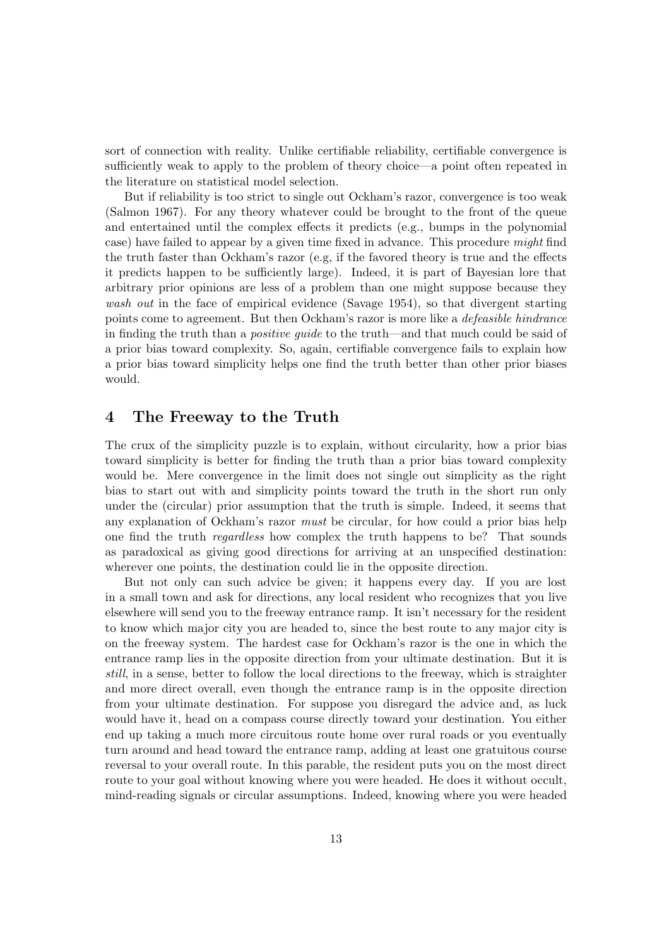sort of connection with reality. Unlike certifiable reliability, certifiable convergence is sufficiently weak to apply to the problem of theory choice—a point often repeated in the literature on statistical model selection.

But if reliability is too strict to single out Ockham's razor, convergence is too weak (Salmon 1967). For any theory whatever could be brought to the front of the queue and entertained until the complex effects it predicts (e.g., bumps in the polynomial case) have failed to appear by a given time fixed in advance. This procedure might find the truth faster than Ockham's razor (e.g, if the favored theory is true and the effects it predicts happen to be sufficiently large). Indeed, it is part of Bayesian lore that arbitrary prior opinions are less of a problem than one might suppose because they wash out in the face of empirical evidence (Savage 1954), so that divergent starting points come to agreement. But then Ockham's razor is more like a defeasible hindrance in finding the truth than a positive guide to the truth—and that much could be said of a prior bias toward complexity. So, again, certifiable convergence fails to explain how a prior bias toward simplicity helps one find the truth better than other prior biases would.

### 4 The Freeway to the Truth

The crux of the simplicity puzzle is to explain, without circularity, how a prior bias toward simplicity is better for finding the truth than a prior bias toward complexity would be. Mere convergence in the limit does not single out simplicity as the right bias to start out with and simplicity points toward the truth in the short run only under the (circular) prior assumption that the truth is simple. Indeed, it seems that any explanation of Ockham's razor must be circular, for how could a prior bias help one find the truth regardless how complex the truth happens to be? That sounds as paradoxical as giving good directions for arriving at an unspecified destination: wherever one points, the destination could lie in the opposite direction.

But not only can such advice be given; it happens every day. If you are lost in a small town and ask for directions, any local resident who recognizes that you live elsewhere will send you to the freeway entrance ramp. It isn't necessary for the resident to know which major city you are headed to, since the best route to any major city is on the freeway system. The hardest case for Ockham's razor is the one in which the entrance ramp lies in the opposite direction from your ultimate destination. But it is still, in a sense, better to follow the local directions to the freeway, which is straighter and more direct overall, even though the entrance ramp is in the opposite direction from your ultimate destination. For suppose you disregard the advice and, as luck would have it, head on a compass course directly toward your destination. You either end up taking a much more circuitous route home over rural roads or you eventually turn around and head toward the entrance ramp, adding at least one gratuitous course reversal to your overall route. In this parable, the resident puts you on the most direct route to your goal without knowing where you were headed. He does it without occult, mind-reading signals or circular assumptions. Indeed, knowing where you were headed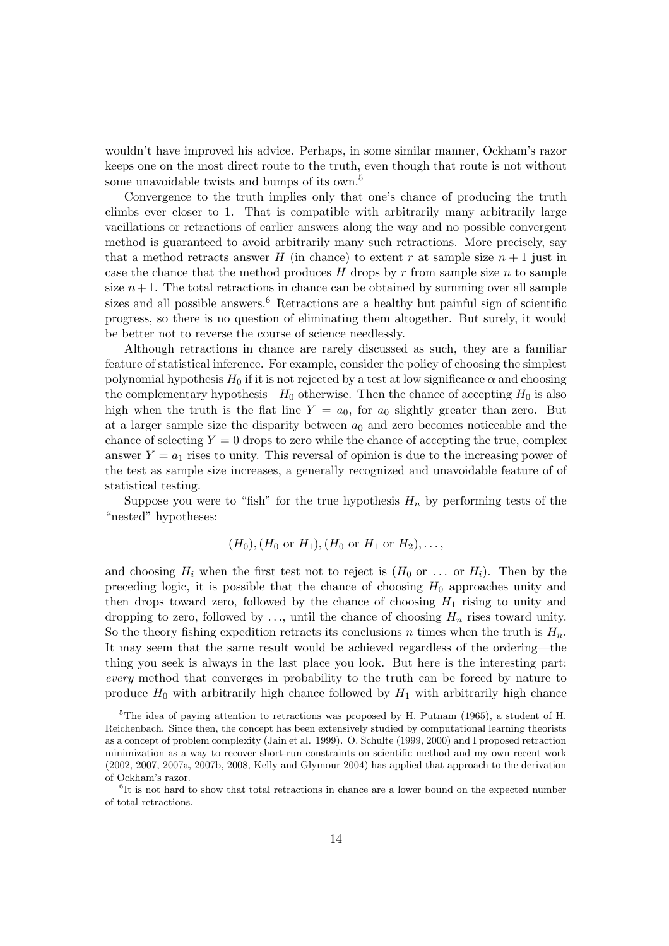wouldn't have improved his advice. Perhaps, in some similar manner, Ockham's razor keeps one on the most direct route to the truth, even though that route is not without some unavoidable twists and bumps of its own.<sup>5</sup>

Convergence to the truth implies only that one's chance of producing the truth climbs ever closer to 1. That is compatible with arbitrarily many arbitrarily large vacillations or retractions of earlier answers along the way and no possible convergent method is guaranteed to avoid arbitrarily many such retractions. More precisely, say that a method retracts answer H (in chance) to extent r at sample size  $n + 1$  just in case the chance that the method produces  $H$  drops by r from sample size n to sample size  $n+1$ . The total retractions in chance can be obtained by summing over all sample sizes and all possible answers.<sup>6</sup> Retractions are a healthy but painful sign of scientific progress, so there is no question of eliminating them altogether. But surely, it would be better not to reverse the course of science needlessly.

Although retractions in chance are rarely discussed as such, they are a familiar feature of statistical inference. For example, consider the policy of choosing the simplest polynomial hypothesis  $H_0$  if it is not rejected by a test at low significance  $\alpha$  and choosing the complementary hypothesis  $\neg H_0$  otherwise. Then the chance of accepting  $H_0$  is also high when the truth is the flat line  $Y = a_0$ , for  $a_0$  slightly greater than zero. But at a larger sample size the disparity between  $a_0$  and zero becomes noticeable and the chance of selecting  $Y = 0$  drops to zero while the chance of accepting the true, complex answer  $Y = a_1$  rises to unity. This reversal of opinion is due to the increasing power of the test as sample size increases, a generally recognized and unavoidable feature of of statistical testing.

Suppose you were to "fish" for the true hypothesis  $H_n$  by performing tests of the "nested" hypotheses:

$$
(H_0), (H_0 \text{ or } H_1), (H_0 \text{ or } H_1 \text{ or } H_2), \ldots,
$$

and choosing  $H_i$  when the first test not to reject is  $(H_0 \text{ or } \dots \text{ or } H_i)$ . Then by the preceding logic, it is possible that the chance of choosing  $H_0$  approaches unity and then drops toward zero, followed by the chance of choosing  $H_1$  rising to unity and dropping to zero, followed by ..., until the chance of choosing  $H_n$  rises toward unity. So the theory fishing expedition retracts its conclusions n times when the truth is  $H_n$ . It may seem that the same result would be achieved regardless of the ordering—the thing you seek is always in the last place you look. But here is the interesting part: every method that converges in probability to the truth can be forced by nature to produce  $H_0$  with arbitrarily high chance followed by  $H_1$  with arbitrarily high chance

 $5$ The idea of paying attention to retractions was proposed by H. Putnam (1965), a student of H. Reichenbach. Since then, the concept has been extensively studied by computational learning theorists as a concept of problem complexity (Jain et al. 1999). O. Schulte (1999, 2000) and I proposed retraction minimization as a way to recover short-run constraints on scientific method and my own recent work (2002, 2007, 2007a, 2007b, 2008, Kelly and Glymour 2004) has applied that approach to the derivation of Ockham's razor.

<sup>&</sup>lt;sup>6</sup>It is not hard to show that total retractions in chance are a lower bound on the expected number of total retractions.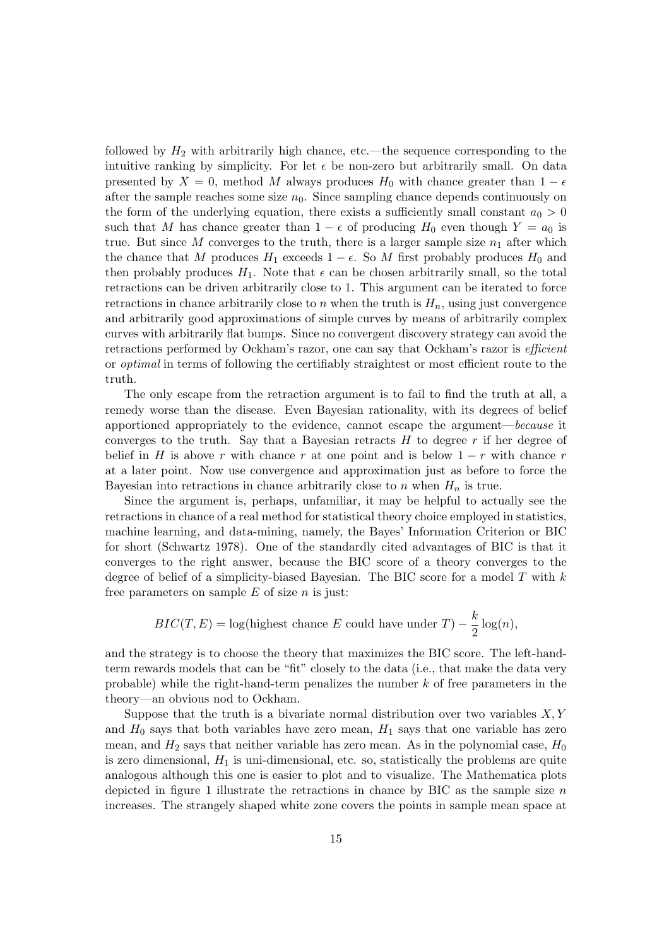followed by  $H_2$  with arbitrarily high chance, etc.—the sequence corresponding to the intuitive ranking by simplicity. For let  $\epsilon$  be non-zero but arbitrarily small. On data presented by  $X = 0$ , method M always produces  $H_0$  with chance greater than  $1 - \epsilon$ after the sample reaches some size  $n_0$ . Since sampling chance depends continuously on the form of the underlying equation, there exists a sufficiently small constant  $a_0 > 0$ such that M has chance greater than  $1 - \epsilon$  of producing  $H_0$  even though  $Y = a_0$  is true. But since  $M$  converges to the truth, there is a larger sample size  $n_1$  after which the chance that M produces  $H_1$  exceeds  $1 - \epsilon$ . So M first probably produces  $H_0$  and then probably produces  $H_1$ . Note that  $\epsilon$  can be chosen arbitrarily small, so the total retractions can be driven arbitrarily close to 1. This argument can be iterated to force retractions in chance arbitrarily close to n when the truth is  $H_n$ , using just convergence and arbitrarily good approximations of simple curves by means of arbitrarily complex curves with arbitrarily flat bumps. Since no convergent discovery strategy can avoid the retractions performed by Ockham's razor, one can say that Ockham's razor is efficient or optimal in terms of following the certifiably straightest or most efficient route to the truth.

The only escape from the retraction argument is to fail to find the truth at all, a remedy worse than the disease. Even Bayesian rationality, with its degrees of belief apportioned appropriately to the evidence, cannot escape the argument—because it converges to the truth. Say that a Bayesian retracts  $H$  to degree  $r$  if her degree of belief in H is above r with chance r at one point and is below  $1 - r$  with chance r at a later point. Now use convergence and approximation just as before to force the Bayesian into retractions in chance arbitrarily close to n when  $H_n$  is true.

Since the argument is, perhaps, unfamiliar, it may be helpful to actually see the retractions in chance of a real method for statistical theory choice employed in statistics, machine learning, and data-mining, namely, the Bayes' Information Criterion or BIC for short (Schwartz 1978). One of the standardly cited advantages of BIC is that it converges to the right answer, because the BIC score of a theory converges to the degree of belief of a simplicity-biased Bayesian. The BIC score for a model  $T$  with  $k$ free parameters on sample  $E$  of size  $n$  is just:

$$
BIC(T, E) = \log(\text{highest chance } E \text{ could have under } T) - \frac{k}{2}\log(n),
$$

and the strategy is to choose the theory that maximizes the BIC score. The left-handterm rewards models that can be "fit" closely to the data (i.e., that make the data very probable) while the right-hand-term penalizes the number  $k$  of free parameters in the theory—an obvious nod to Ockham.

Suppose that the truth is a bivariate normal distribution over two variables  $X, Y$ and  $H_0$  says that both variables have zero mean,  $H_1$  says that one variable has zero mean, and  $H_2$  says that neither variable has zero mean. As in the polynomial case,  $H_0$ is zero dimensional,  $H_1$  is uni-dimensional, etc. so, statistically the problems are quite analogous although this one is easier to plot and to visualize. The Mathematica plots depicted in figure 1 illustrate the retractions in chance by BIC as the sample size  $n$ increases. The strangely shaped white zone covers the points in sample mean space at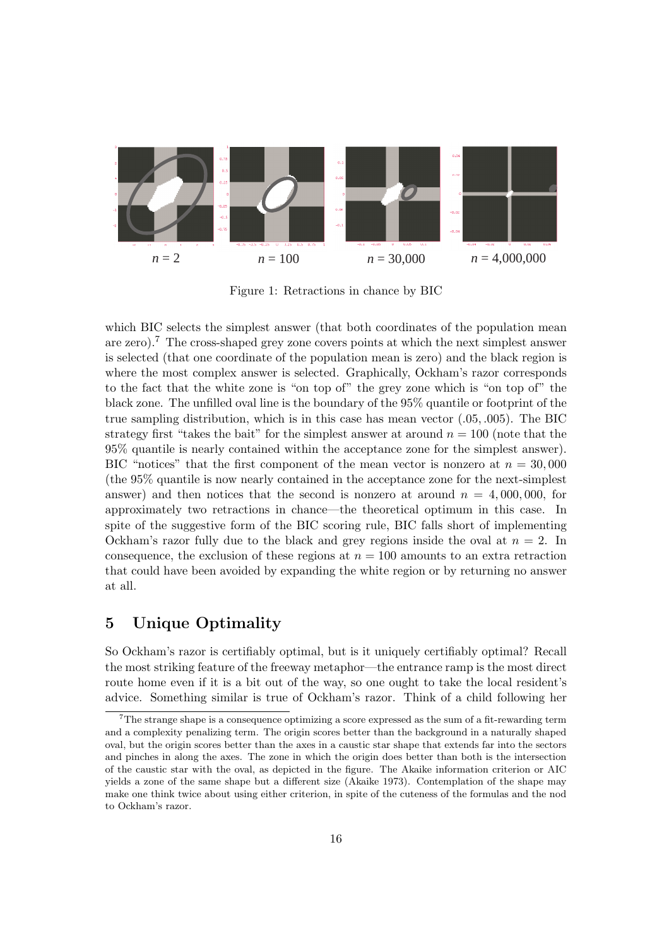

Figure 1: Retractions in chance by BIC

which BIC selects the simplest answer (that both coordinates of the population mean are zero).<sup>7</sup> The cross-shaped grey zone covers points at which the next simplest answer is selected (that one coordinate of the population mean is zero) and the black region is where the most complex answer is selected. Graphically, Ockham's razor corresponds to the fact that the white zone is "on top of" the grey zone which is "on top of" the black zone. The unfilled oval line is the boundary of the 95% quantile or footprint of the true sampling distribution, which is in this case has mean vector (.05, .005). The BIC strategy first "takes the bait" for the simplest answer at around  $n = 100$  (note that the 95% quantile is nearly contained within the acceptance zone for the simplest answer). BIC "notices" that the first component of the mean vector is nonzero at  $n = 30,000$ (the 95% quantile is now nearly contained in the acceptance zone for the next-simplest answer) and then notices that the second is nonzero at around  $n = 4,000,000$ , for approximately two retractions in chance—the theoretical optimum in this case. In spite of the suggestive form of the BIC scoring rule, BIC falls short of implementing Ockham's razor fully due to the black and grey regions inside the oval at  $n = 2$ . In consequence, the exclusion of these regions at  $n = 100$  amounts to an extra retraction that could have been avoided by expanding the white region or by returning no answer at all.

### 5 Unique Optimality

So Ockham's razor is certifiably optimal, but is it uniquely certifiably optimal? Recall the most striking feature of the freeway metaphor—the entrance ramp is the most direct route home even if it is a bit out of the way, so one ought to take the local resident's advice. Something similar is true of Ockham's razor. Think of a child following her

<sup>7</sup>The strange shape is a consequence optimizing a score expressed as the sum of a fit-rewarding term and a complexity penalizing term. The origin scores better than the background in a naturally shaped oval, but the origin scores better than the axes in a caustic star shape that extends far into the sectors and pinches in along the axes. The zone in which the origin does better than both is the intersection of the caustic star with the oval, as depicted in the figure. The Akaike information criterion or AIC yields a zone of the same shape but a different size (Akaike 1973). Contemplation of the shape may make one think twice about using either criterion, in spite of the cuteness of the formulas and the nod to Ockham's razor.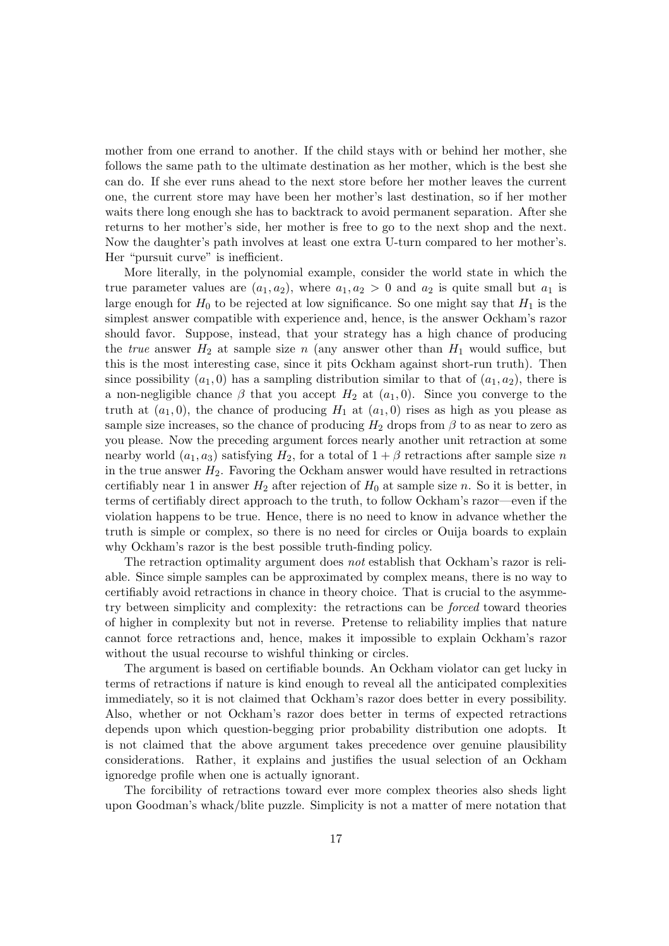mother from one errand to another. If the child stays with or behind her mother, she follows the same path to the ultimate destination as her mother, which is the best she can do. If she ever runs ahead to the next store before her mother leaves the current one, the current store may have been her mother's last destination, so if her mother waits there long enough she has to backtrack to avoid permanent separation. After she returns to her mother's side, her mother is free to go to the next shop and the next. Now the daughter's path involves at least one extra U-turn compared to her mother's. Her "pursuit curve" is inefficient.

More literally, in the polynomial example, consider the world state in which the true parameter values are  $(a_1, a_2)$ , where  $a_1, a_2 > 0$  and  $a_2$  is quite small but  $a_1$  is large enough for  $H_0$  to be rejected at low significance. So one might say that  $H_1$  is the simplest answer compatible with experience and, hence, is the answer Ockham's razor should favor. Suppose, instead, that your strategy has a high chance of producing the true answer  $H_2$  at sample size n (any answer other than  $H_1$  would suffice, but this is the most interesting case, since it pits Ockham against short-run truth). Then since possibility  $(a_1, 0)$  has a sampling distribution similar to that of  $(a_1, a_2)$ , there is a non-negligible chance  $\beta$  that you accept  $H_2$  at  $(a_1, 0)$ . Since you converge to the truth at  $(a_1, 0)$ , the chance of producing  $H_1$  at  $(a_1, 0)$  rises as high as you please as sample size increases, so the chance of producing  $H_2$  drops from  $\beta$  to as near to zero as you please. Now the preceding argument forces nearly another unit retraction at some nearby world  $(a_1, a_3)$  satisfying  $H_2$ , for a total of  $1 + \beta$  retractions after sample size n in the true answer  $H_2$ . Favoring the Ockham answer would have resulted in retractions certifiably near 1 in answer  $H_2$  after rejection of  $H_0$  at sample size n. So it is better, in terms of certifiably direct approach to the truth, to follow Ockham's razor—even if the violation happens to be true. Hence, there is no need to know in advance whether the truth is simple or complex, so there is no need for circles or Ouija boards to explain why Ockham's razor is the best possible truth-finding policy.

The retraction optimality argument does not establish that Ockham's razor is reliable. Since simple samples can be approximated by complex means, there is no way to certifiably avoid retractions in chance in theory choice. That is crucial to the asymmetry between simplicity and complexity: the retractions can be forced toward theories of higher in complexity but not in reverse. Pretense to reliability implies that nature cannot force retractions and, hence, makes it impossible to explain Ockham's razor without the usual recourse to wishful thinking or circles.

The argument is based on certifiable bounds. An Ockham violator can get lucky in terms of retractions if nature is kind enough to reveal all the anticipated complexities immediately, so it is not claimed that Ockham's razor does better in every possibility. Also, whether or not Ockham's razor does better in terms of expected retractions depends upon which question-begging prior probability distribution one adopts. It is not claimed that the above argument takes precedence over genuine plausibility considerations. Rather, it explains and justifies the usual selection of an Ockham ignoredge profile when one is actually ignorant.

The forcibility of retractions toward ever more complex theories also sheds light upon Goodman's whack/blite puzzle. Simplicity is not a matter of mere notation that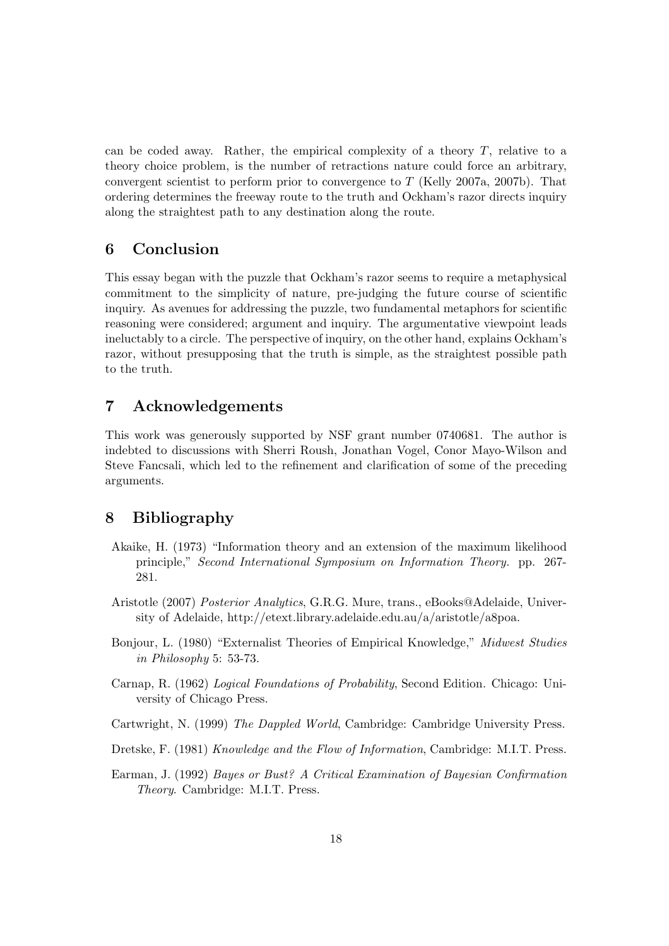can be coded away. Rather, the empirical complexity of a theory  $T$ , relative to a theory choice problem, is the number of retractions nature could force an arbitrary, convergent scientist to perform prior to convergence to  $T$  (Kelly 2007a, 2007b). That ordering determines the freeway route to the truth and Ockham's razor directs inquiry along the straightest path to any destination along the route.

## 6 Conclusion

This essay began with the puzzle that Ockham's razor seems to require a metaphysical commitment to the simplicity of nature, pre-judging the future course of scientific inquiry. As avenues for addressing the puzzle, two fundamental metaphors for scientific reasoning were considered; argument and inquiry. The argumentative viewpoint leads ineluctably to a circle. The perspective of inquiry, on the other hand, explains Ockham's razor, without presupposing that the truth is simple, as the straightest possible path to the truth.

## 7 Acknowledgements

This work was generously supported by NSF grant number 0740681. The author is indebted to discussions with Sherri Roush, Jonathan Vogel, Conor Mayo-Wilson and Steve Fancsali, which led to the refinement and clarification of some of the preceding arguments.

## 8 Bibliography

- Akaike, H. (1973) "Information theory and an extension of the maximum likelihood principle," Second International Symposium on Information Theory. pp. 267- 281.
- Aristotle (2007) Posterior Analytics, G.R.G. Mure, trans., eBooks@Adelaide, University of Adelaide, http://etext.library.adelaide.edu.au/a/aristotle/a8poa.
- Bonjour, L. (1980) "Externalist Theories of Empirical Knowledge," Midwest Studies in Philosophy 5: 53-73.
- Carnap, R. (1962) Logical Foundations of Probability, Second Edition. Chicago: University of Chicago Press.
- Cartwright, N. (1999) The Dappled World, Cambridge: Cambridge University Press.
- Dretske, F. (1981) Knowledge and the Flow of Information, Cambridge: M.I.T. Press.
- Earman, J. (1992) Bayes or Bust? A Critical Examination of Bayesian Confirmation Theory. Cambridge: M.I.T. Press.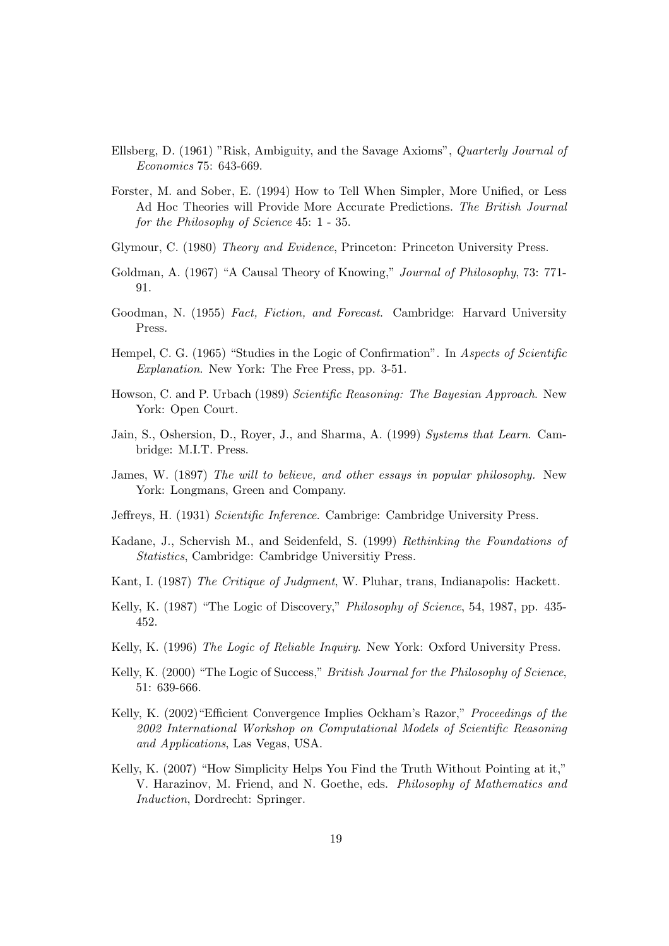- Ellsberg, D. (1961) "Risk, Ambiguity, and the Savage Axioms", Quarterly Journal of Economics 75: 643-669.
- Forster, M. and Sober, E. (1994) How to Tell When Simpler, More Unified, or Less Ad Hoc Theories will Provide More Accurate Predictions. The British Journal for the Philosophy of Science 45: 1 - 35.
- Glymour, C. (1980) Theory and Evidence, Princeton: Princeton University Press.
- Goldman, A. (1967) "A Causal Theory of Knowing," Journal of Philosophy, 73: 771- 91.
- Goodman, N. (1955) Fact, Fiction, and Forecast. Cambridge: Harvard University Press.
- Hempel, C. G. (1965) "Studies in the Logic of Confirmation". In Aspects of Scientific Explanation. New York: The Free Press, pp. 3-51.
- Howson, C. and P. Urbach (1989) Scientific Reasoning: The Bayesian Approach. New York: Open Court.
- Jain, S., Oshersion, D., Royer, J., and Sharma, A. (1999) Systems that Learn. Cambridge: M.I.T. Press.
- James, W. (1897) The will to believe, and other essays in popular philosophy. New York: Longmans, Green and Company.
- Jeffreys, H. (1931) Scientific Inference. Cambrige: Cambridge University Press.
- Kadane, J., Schervish M., and Seidenfeld, S. (1999) Rethinking the Foundations of Statistics, Cambridge: Cambridge Universitiy Press.
- Kant, I. (1987) The Critique of Judgment, W. Pluhar, trans, Indianapolis: Hackett.
- Kelly, K. (1987) "The Logic of Discovery," Philosophy of Science, 54, 1987, pp. 435- 452.
- Kelly, K. (1996) The Logic of Reliable Inquiry. New York: Oxford University Press.
- Kelly, K. (2000) "The Logic of Success," British Journal for the Philosophy of Science, 51: 639-666.
- Kelly, K. (2002)"Efficient Convergence Implies Ockham's Razor," Proceedings of the 2002 International Workshop on Computational Models of Scientific Reasoning and Applications, Las Vegas, USA.
- Kelly, K. (2007) "How Simplicity Helps You Find the Truth Without Pointing at it," V. Harazinov, M. Friend, and N. Goethe, eds. Philosophy of Mathematics and Induction, Dordrecht: Springer.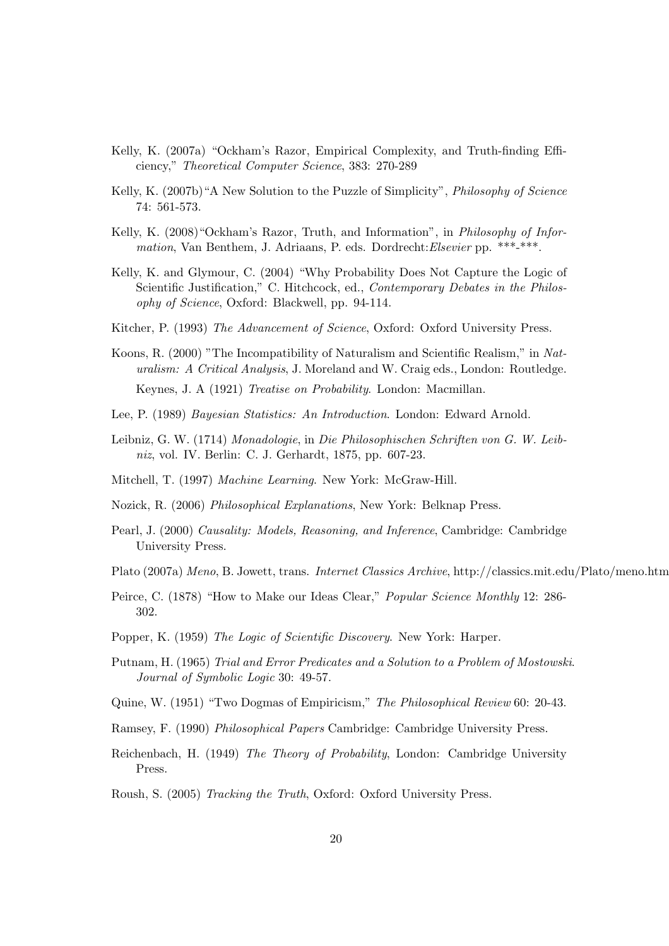- Kelly, K. (2007a) "Ockham's Razor, Empirical Complexity, and Truth-finding Efficiency," Theoretical Computer Science, 383: 270-289
- Kelly, K. (2007b) "A New Solution to the Puzzle of Simplicity", *Philosophy of Science* 74: 561-573.
- Kelly, K. (2008)"Ockham's Razor, Truth, and Information", in Philosophy of Information, Van Benthem, J. Adriaans, P. eds. Dordrecht: Elsevier pp. \*\*\*-\*\*\*.
- Kelly, K. and Glymour, C. (2004) "Why Probability Does Not Capture the Logic of Scientific Justification," C. Hitchcock, ed., Contemporary Debates in the Philosophy of Science, Oxford: Blackwell, pp. 94-114.
- Kitcher, P. (1993) The Advancement of Science, Oxford: Oxford University Press.
- Koons, R. (2000) "The Incompatibility of Naturalism and Scientific Realism," in Naturalism: A Critical Analysis, J. Moreland and W. Craig eds., London: Routledge. Keynes, J. A (1921) Treatise on Probability. London: Macmillan.
- Lee, P. (1989) Bayesian Statistics: An Introduction. London: Edward Arnold.
- Leibniz, G. W. (1714) Monadologie, in Die Philosophischen Schriften von G. W. Leibniz, vol. IV. Berlin: C. J. Gerhardt, 1875, pp. 607-23.
- Mitchell, T. (1997) Machine Learning. New York: McGraw-Hill.
- Nozick, R. (2006) Philosophical Explanations, New York: Belknap Press.
- Pearl, J. (2000) Causality: Models, Reasoning, and Inference, Cambridge: Cambridge University Press.
- Plato (2007a) Meno, B. Jowett, trans. Internet Classics Archive, http://classics.mit.edu/Plato/meno.htm
- Peirce, C. (1878) "How to Make our Ideas Clear," Popular Science Monthly 12: 286- 302.
- Popper, K. (1959) The Logic of Scientific Discovery. New York: Harper.
- Putnam, H. (1965) Trial and Error Predicates and a Solution to a Problem of Mostowski. Journal of Symbolic Logic 30: 49-57.
- Quine, W. (1951) "Two Dogmas of Empiricism," The Philosophical Review 60: 20-43.
- Ramsey, F. (1990) Philosophical Papers Cambridge: Cambridge University Press.
- Reichenbach, H. (1949) The Theory of Probability, London: Cambridge University Press.
- Roush, S. (2005) Tracking the Truth, Oxford: Oxford University Press.